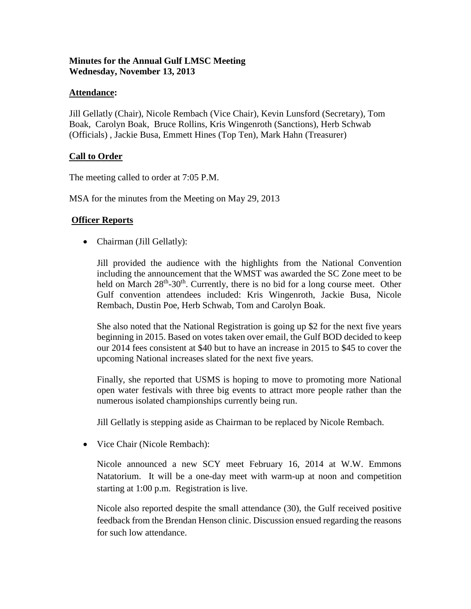# **Minutes for the Annual Gulf LMSC Meeting Wednesday, November 13, 2013**

## **Attendance:**

Jill Gellatly (Chair), Nicole Rembach (Vice Chair), Kevin Lunsford (Secretary), Tom Boak, Carolyn Boak, Bruce Rollins, Kris Wingenroth (Sanctions), Herb Schwab (Officials) , Jackie Busa, Emmett Hines (Top Ten), Mark Hahn (Treasurer)

## **Call to Order**

The meeting called to order at 7:05 P.M.

MSA for the minutes from the Meeting on May 29, 2013

## **Officer Reports**

• Chairman (Jill Gellatly):

Jill provided the audience with the highlights from the National Convention including the announcement that the WMST was awarded the SC Zone meet to be held on March  $28<sup>th</sup> - 30<sup>th</sup>$ . Currently, there is no bid for a long course meet. Other Gulf convention attendees included: Kris Wingenroth, Jackie Busa, Nicole Rembach, Dustin Poe, Herb Schwab, Tom and Carolyn Boak.

She also noted that the National Registration is going up \$2 for the next five years beginning in 2015. Based on votes taken over email, the Gulf BOD decided to keep our 2014 fees consistent at \$40 but to have an increase in 2015 to \$45 to cover the upcoming National increases slated for the next five years.

Finally, she reported that USMS is hoping to move to promoting more National open water festivals with three big events to attract more people rather than the numerous isolated championships currently being run.

Jill Gellatly is stepping aside as Chairman to be replaced by Nicole Rembach.

• Vice Chair (Nicole Rembach):

Nicole announced a new SCY meet February 16, 2014 at W.W. Emmons Natatorium. It will be a one-day meet with warm-up at noon and competition starting at 1:00 p.m. Registration is live.

Nicole also reported despite the small attendance (30), the Gulf received positive feedback from the Brendan Henson clinic. Discussion ensued regarding the reasons for such low attendance.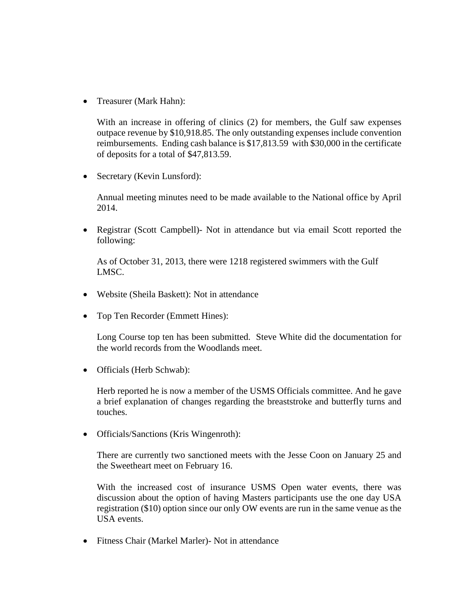• Treasurer (Mark Hahn):

With an increase in offering of clinics (2) for members, the Gulf saw expenses outpace revenue by \$10,918.85. The only outstanding expenses include convention reimbursements. Ending cash balance is \$17,813.59 with \$30,000 in the certificate of deposits for a total of \$47,813.59.

• Secretary (Kevin Lunsford):

Annual meeting minutes need to be made available to the National office by April 2014.

• Registrar (Scott Campbell)- Not in attendance but via email Scott reported the following:

As of October 31, 2013, there were 1218 registered swimmers with the Gulf LMSC.

- Website (Sheila Baskett): Not in attendance
- Top Ten Recorder (Emmett Hines):

Long Course top ten has been submitted. Steve White did the documentation for the world records from the Woodlands meet.

• Officials (Herb Schwab):

Herb reported he is now a member of the USMS Officials committee. And he gave a brief explanation of changes regarding the breaststroke and butterfly turns and touches.

• Officials/Sanctions (Kris Wingenroth):

There are currently two sanctioned meets with the Jesse Coon on January 25 and the Sweetheart meet on February 16.

With the increased cost of insurance USMS Open water events, there was discussion about the option of having Masters participants use the one day USA registration (\$10) option since our only OW events are run in the same venue as the USA events.

• Fitness Chair (Markel Marler)- Not in attendance